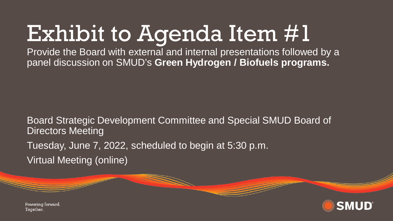# Exhibit to Agenda Item #1

Provide the Board with external and internal presentations followed by a panel discussion on SMUD's **Green Hydrogen / Biofuels programs.**

Board Strategic Development Committee and Special SMUD Board of Directors Meeting Tuesday, June 7, 2022, scheduled to begin at 5:30 p.m. Virtual Meeting (online)



Powering forward. Together.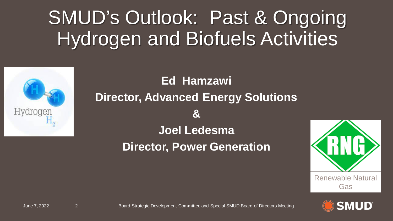# SMUD's Outlook: Past & Ongoing Hydrogen and Biofuels Activities



### **Ed Hamzawi Director, Advanced Energy Solutions & Joel Ledesma Director, Power Generation**





June 7, 2022 2 Board Strategic Development Committee and Special SMUD Board of Directors Meeting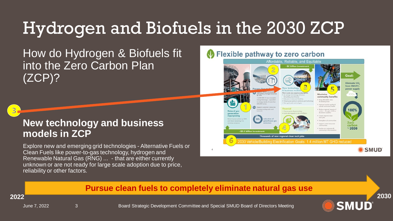## Hydrogen and Biofuels in the 2030 ZCP

How do Hydrogen & Biofuels fit into the Zero Carbon Plan (ZCP)?

 $3<sub>1</sub>$ 

### **New technology and business models in ZCP**

Explore new and emerging grid technologies - Alternative Fuels or Clean Fuels like power-to-gas technology, hydrogen and Renewable Natural Gas (RNG) ... - that are either currently unknown or are not ready for large scale adoption due to price, reliability or other factors.

### Flexible pathway to zero carbon



#### **Pursue clean fuels to completely eliminate natural gas use**

June 7, 2022 3 3 Board Strategic Development Committee and Special SMUD Board of Directors Meeting

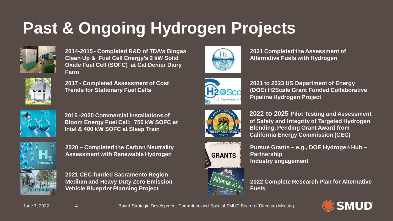## **Past & Ongoing Hydrogen Projects**



**2014-2015 - Completed R&D of TDA's Biogas Clean Up & Fuel Cell Energy's 2 kW Solid Oxide Fuel Cell (SOFC) at Cal Denier Dairy Farm**



**2017 - Completed Assessment of Cost Trends for Stationary Fuel Cells**



**2015 -2020 Commercial Installations of Bloom Energy Fuel Cell: 750 kW SOFC at Intel & 400 kW SOFC at Sleep Train**



**2020 – Completed the Carbon Neutrality Assessment with Renewable Hydrogen**



**2021 CEC-funded Sacramento Region Medium and Heavy Duty Zero Emission Vehicle Blueprint Planning Project** 



**2021 Completed the Assessment of Alternative Fuels with Hydrogen**



**2021 to 2023 US Department of Energy (DOE) H2Scale Grant Funded Collaborative Pipeline Hydrogen Project**



**2022 to 2025 Pilot Testing and Assessment of Safety and Integrity of Targeted Hydrogen Blending. Pending Grant Award from California Energy Commission (CEC)**



**Pursue Grants – e.g., DOE Hydrogen Hub – Partnership Industry engagement** 

**2022 Complete Research Plan for Alternative Fuels**



June 7, 2022 4 Board Strategic Development Committee and Special SMUD Board of Directors Meeting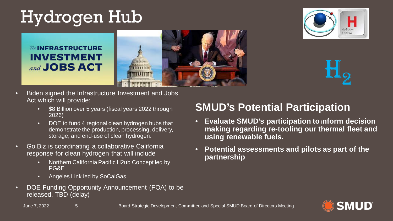## Hydrogen Hub

**The INFRASTRUCTURE INVESTMENT** and **JOBS ACT** 





H<sub>2</sub>

- Biden signed the Infrastructure Investment and Jobs Act which will provide:
	- \$8 Billion over 5 years (fiscal years 2022 through 2026)
	- DOE to fund 4 regional clean hydrogen hubs that demonstrate the production, processing, delivery, storage, and end-use of clean hydrogen.
- Go.Biz is coordinating a collaborative California response for clean hydrogen that will include
	- Northern California Pacific H2ub Concept led by PG&E
	- Angeles Link led by SoCalGas
- DOE Funding Opportunity Announcement (FOA) to be released, TBD (delay)

### **SMUD's Potential Participation**

- **Evaluate SMUD's participation to inform decision making regarding re-tooling our thermal fleet and using renewable fuels.**
- **Potential assessments and pilots as part of the partnership**



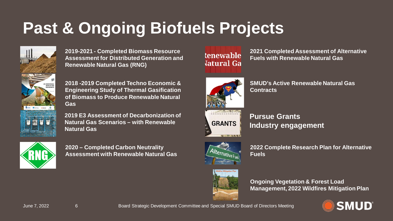## **Past & Ongoing Biofuels Projects**



**2019-2021 - Completed Biomass Resource Assessment for Distributed Generation and Renewable Natural Gas (RNG)**

**2018 -2019 Completed Techno Economic & Engineering Study of Thermal Gasification of Biomass to Produce Renewable Natural Gas** 

**2019 E3 Assessment of Decarbonization of Natural Gas Scenarios – with Renewable Natural Gas**



**2020 – Completed Carbon Neutrality Assessment with Renewable Natural Gas**



**2021 Completed Assessment of Alternative Fuels with Renewable Natural Gas**



**SMUD's Active Renewable Natural Gas Contracts**

|  | <b>GRANTS</b> |
|--|---------------|

**Pursue Grants Industry engagement**



**2022 Complete Research Plan for Alternative Fuels**



**Ongoing Vegetation & Forest Load Management, 2022 Wildfires Mitigation Plan**



June 7, 2022 6 Board Strategic Development Committee and Special SMUD Board of Directors Meeting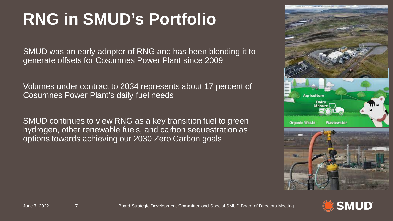## **RNG in SMUD's Portfolio**

SMUD was an early adopter of RNG and has been blending it to generate offsets for Cosumnes Power Plant since 2009

Volumes under contract to 2034 represents about 17 percent of Cosumnes Power Plant's daily fuel needs

SMUD continues to view RNG as a key transition fuel to green hydrogen, other renewable fuels, and carbon sequestration as options towards achieving our 2030 Zero Carbon goals



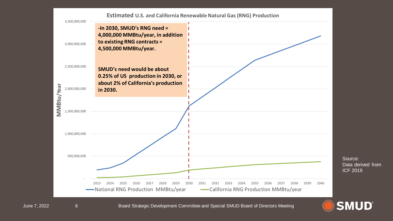

June 7, 2022 8 Board Strategic Development Committee and Special SMUD Board of Directors Meeting